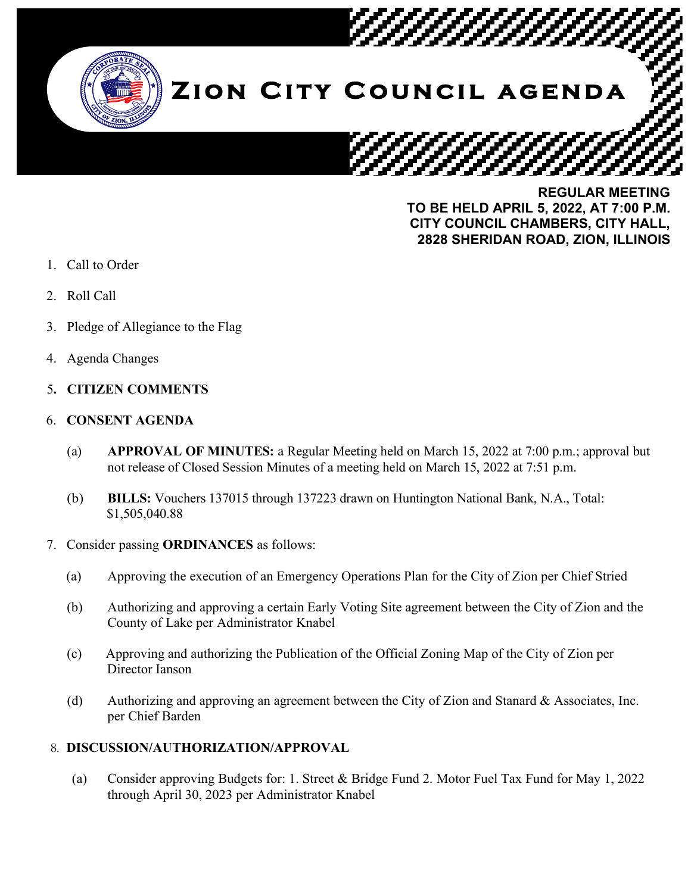

**REGULAR MEETING TO BE HELD APRIL 5, 2022, AT 7:00 P.M. CITY COUNCIL CHAMBERS, CITY HALL, 2828 SHERIDAN ROAD, ZION, ILLINOIS**

- 1. Call to Order
- 2. Roll Call
- 3. Pledge of Allegiance to the Flag
- 4. Agenda Changes

# 5**. CITIZEN COMMENTS**

### 6. **CONSENT AGENDA**

- (a) **APPROVAL OF MINUTES:** a Regular Meeting held on March 15, 2022 at 7:00 p.m.; approval but not release of Closed Session Minutes of a meeting held on March 15, 2022 at 7:51 p.m.
- (b) **BILLS:** Vouchers 137015 through 137223 drawn on Huntington National Bank, N.A., Total: \$1,505,040.88
- 7. Consider passing **ORDINANCES** as follows:
	- (a) Approving the execution of an Emergency Operations Plan for the City of Zion per Chief Stried
	- (b) Authorizing and approving a certain Early Voting Site agreement between the City of Zion and the County of Lake per Administrator Knabel
	- (c) Approving and authorizing the Publication of the Official Zoning Map of the City of Zion per Director Ianson
	- (d) Authorizing and approving an agreement between the City of Zion and Stanard & Associates, Inc. per Chief Barden

## 8. **DISCUSSION/AUTHORIZATION/APPROVAL**

(a) Consider approving Budgets for: 1. Street & Bridge Fund 2. Motor Fuel Tax Fund for May 1, 2022 through April 30, 2023 per Administrator Knabel